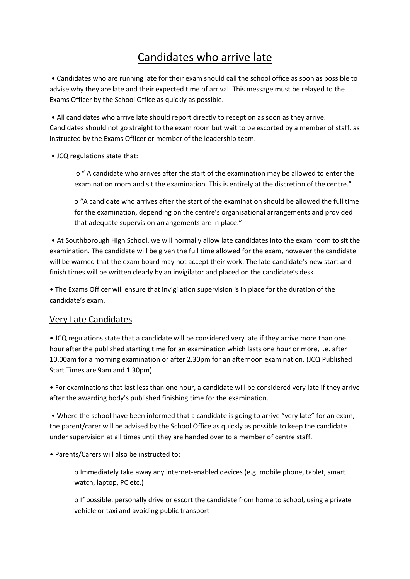## Candidates who arrive late

• Candidates who are running late for their exam should call the school office as soon as possible to advise why they are late and their expected time of arrival. This message must be relayed to the Exams Officer by the School Office as quickly as possible.

• All candidates who arrive late should report directly to reception as soon as they arrive. Candidates should not go straight to the exam room but wait to be escorted by a member of staff, as instructed by the Exams Officer or member of the leadership team.

• JCQ regulations state that:

o " A candidate who arrives after the start of the examination may be allowed to enter the examination room and sit the examination. This is entirely at the discretion of the centre."

o "A candidate who arrives after the start of the examination should be allowed the full time for the examination, depending on the centre's organisational arrangements and provided that adequate supervision arrangements are in place."

• At Southborough High School, we will normally allow late candidates into the exam room to sit the examination. The candidate will be given the full time allowed for the exam, however the candidate will be warned that the exam board may not accept their work. The late candidate's new start and finish times will be written clearly by an invigilator and placed on the candidate's desk.

• The Exams Officer will ensure that invigilation supervision is in place for the duration of the candidate's exam.

## Very Late Candidates

• JCQ regulations state that a candidate will be considered very late if they arrive more than one hour after the published starting time for an examination which lasts one hour or more, i.e. after 10.00am for a morning examination or after 2.30pm for an afternoon examination. (JCQ Published Start Times are 9am and 1.30pm).

• For examinations that last less than one hour, a candidate will be considered very late if they arrive after the awarding body's published finishing time for the examination.

• Where the school have been informed that a candidate is going to arrive "very late" for an exam, the parent/carer will be advised by the School Office as quickly as possible to keep the candidate under supervision at all times until they are handed over to a member of centre staff.

• Parents/Carers will also be instructed to:

o Immediately take away any internet-enabled devices (e.g. mobile phone, tablet, smart watch, laptop, PC etc.)

o If possible, personally drive or escort the candidate from home to school, using a private vehicle or taxi and avoiding public transport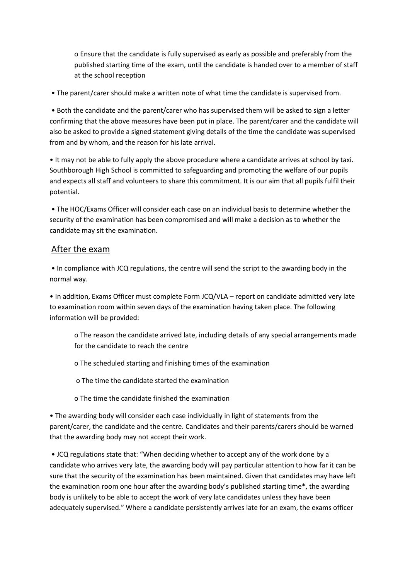o Ensure that the candidate is fully supervised as early as possible and preferably from the published starting time of the exam, until the candidate is handed over to a member of staff at the school reception

• The parent/carer should make a written note of what time the candidate is supervised from.

• Both the candidate and the parent/carer who has supervised them will be asked to sign a letter confirming that the above measures have been put in place. The parent/carer and the candidate will also be asked to provide a signed statement giving details of the time the candidate was supervised from and by whom, and the reason for his late arrival.

• It may not be able to fully apply the above procedure where a candidate arrives at school by taxi. Southborough High School is committed to safeguarding and promoting the welfare of our pupils and expects all staff and volunteers to share this commitment. It is our aim that all pupils fulfil their potential.

• The HOC/Exams Officer will consider each case on an individual basis to determine whether the security of the examination has been compromised and will make a decision as to whether the candidate may sit the examination.

## After the exam

• In compliance with JCQ regulations, the centre will send the script to the awarding body in the normal way.

• In addition, Exams Officer must complete Form JCQ/VLA – report on candidate admitted very late to examination room within seven days of the examination having taken place. The following information will be provided:

o The reason the candidate arrived late, including details of any special arrangements made for the candidate to reach the centre

o The scheduled starting and finishing times of the examination

o The time the candidate started the examination

o The time the candidate finished the examination

• The awarding body will consider each case individually in light of statements from the parent/carer, the candidate and the centre. Candidates and their parents/carers should be warned that the awarding body may not accept their work.

• JCQ regulations state that: "When deciding whether to accept any of the work done by a candidate who arrives very late, the awarding body will pay particular attention to how far it can be sure that the security of the examination has been maintained. Given that candidates may have left the examination room one hour after the awarding body's published starting time\*, the awarding body is unlikely to be able to accept the work of very late candidates unless they have been adequately supervised." Where a candidate persistently arrives late for an exam, the exams officer